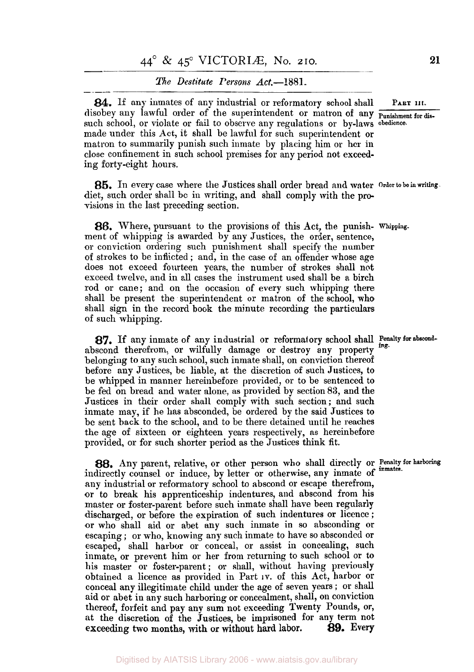# *The Destitute Persons Act.--1881.*

**84.** If any inmates of any industrial or reformatory school shall **PART 111.** disobey any lawful order of the superintendent or matron of any **punishment** for dissuch school, or violate or fail to observe any regulations or by-laws **obedience.**  made under this Act, it shall be lawful for such superintendent or matron to summarily punish such inmate by placing him or her in close confinement in such school premises for any period not exceeding forty-eight hours.

*85.* In every case where the Justices shall order bread and water **Order to be in writing.**  diet, such order shall be in writing, and shall comply with the provisions in the last preceding section.

*86.* Where, pursuant to the provisions of this Act, the punish- **whipping.**  ment of whipping is awarded by any Justices, the order, sentence, or conviction ordering such punishment shall specify the number **of** strokes to be inflicted ; and, in the case of an offender whose age does not exceed fourteen years, the number of strokes shall not exceed twelve, and in all cases the instrument used shall be a birch rod or cane; and on the occasion **of** every such whipping there shall be present the superintendent or matron of the school, who shall sign in the record book the minute recording the particulars of such whipping.

abscond therefrom, or wilfully damage or destroy any property belonging to any such school, such inmate shall, on conviction thereof before any Justices, be liable, at the discretion of such Justices, **to**  be whipped in manner hereinbefore provided, or to be sentenced to be fed on bread and water alone, as provided by section **83,** and the Justices in their order shall comply with such section; and such inmate may, if he has absconded, be ordered by the said Justices to be sent back to the school, and to be there detained until he reaches the age **of** sixteen **or** eighteen. years respectively, as hereinbefore provided, or for such shorter period as the Justices think fit. 87. If any inmate of any industrial or reformatory school shall Penalty for abscond-

88. Any parent, relative, or other person who shall directly or Penalty for harboring indirectly counsel or induce, by letter or otherwise, any inmate of inmates. any industrial or reformatory school to abscond or escape therefrom, or to break his apprenticeship indentures, and abscond from his master or foster-parent before such inmate shall have been regularly discharged, or before the expiration of such indentures or licence ; **or** who shall aid or abet any such inmate in *so* absconding or escaping ; or who, knowing any such inmate to have so absconded **or**  escaped, shall harbor or conceal, or assist in concealing, such inmate, or prevent him or her from returning to such school or to his master or foster-parent; or shall, without having previously obtained a licence as provided in Part **IV.** of this Act, harbor or conceal any illegitimate child under the age of seven years ; or shall aid **or** abet in any such harboring or concealment, shall, on conviction thereof, forfeit and pay any sum not exceeding Twenty Pounds, **or,**  at the discretion of the Justices, be imprisoned for any term not exceeding two months, with or without hard labor. 89. Every exceeding two months, with or without hard labor.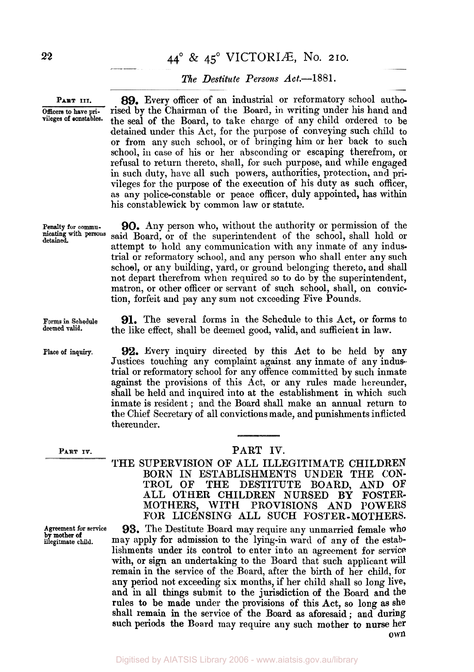# **<sup>22</sup>**44° & **45°** VICTORIÆ, No. **210.**

# *The Destitute Persons Act.-1881.*

**PART III. 89.** Every officer of an industrial or reformatory school autho-Officers to have pri-<br>vileges of constables. the sool of the Board to take charge of any child ordered to be the seal of the Board, to take charge of any child ordered to be detained under this Act, for the purpose of conveying such child to or from any such school, or of bringing him or her back to such school, in case of his or her absconding or escaping therefrom, or refusal to return thereto, shall, for such purpose, and while engaged in such duty, have all such powers, authorities, protection, and privileges for the purpose of the execution of his duty as such officer, as any police-constable or peace officer, duly appointed, has within his constablewick by common law or statute.

**Penalty for commu- 90.** Any person who, without the authority or permission of the nicating with persons said Board, or of the superintendent of the school, shall hold or detained. said Board, or of the superintendent of the school, shall hold or attempt to hold any communication with any inmate of any industrial or reformatory school, and any person who shall enter any such school, or any building, yard, or ground belonging thereto, and shall not depart therefrom when required so to do by the superintendent, matron, or other officer or servant of such school, shall, on conviction, forfeit and pay any sum not exceeding Five Pounds.

**Forms in Schedule** 91. The several forms in the Schedule to this Act, or forms to deemed valid. the like effect, shall be deemed good, valid, and sufficient in law.

Place of inquiry. **92.** Every inquiry directed by this Act to be held by any Justices touching any complaint against any inmate of any industrial or reformatory school for any offence committed by such inmate against the provisions of this Act, or any rules made hereunder, shall be held and inquired into at the establishment in which such inmate is resident ; and the Board shall make an annual return to the Chief Secretary of all convictions made, and punishments inflicted thereunder.

**Agreement for service**  illegitmate child. **b mother of** 

# PART IV. PART IV.

THE SUPERVISION OF ALL ILLEGITIMATE CHILDREN BORN IN ESTABLISHMENTS UNDER THE **CON-**TROL **OF** THE DESTITUTE BOARD, AND OF ALL OTHER CHILDREN NURSED **BY** FOSTER-MOTHERS, WITH PROVISIONS AND POWERS **FOR** LICENSING ALL SUCH FOSTER-MOTHERS. **93.** The Destitute Board may require any unmarried female who may apply for admission to the lying-in ward of any **of** the establishments under its control to enter into an agreement for service with, or sign an undertaking to the Board that such applicant will remain in the service of the Board, after the birth of her child, for any period not exceeding six months, if her child shall so long live, and **in** all **things** submit to the jurisdiction **of** the Board and the rules to be made under the provisions of this Act, so long as she shall remain **in** the service of the Board as aforesaid; and during **such** periods **the** Board may require any such mother **to nurse** her **own**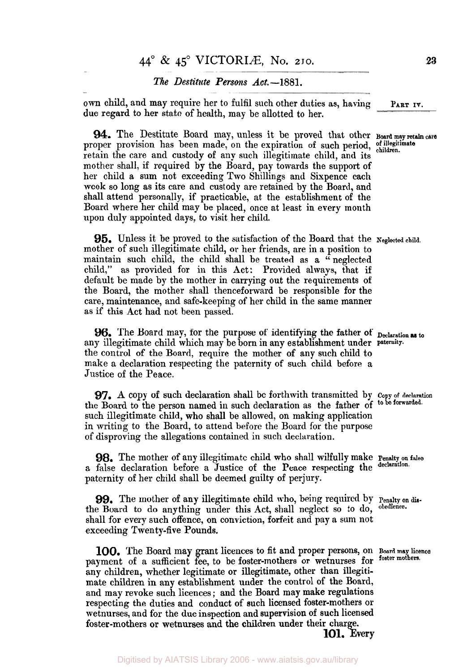# *The Destitute Persons Act.*-1881.

**own** child, and may require her to fulfil such other duties as, having due regard to her state of health, may be allotted to her.

**94.** The Destitute Board may, unless it be proved that other **Board may retain**  proper provision has been made, on the expiration of such period, of illegiting retain the care and custody of any such illegitimate child, and its mother shall, if required by the Board, pay towards the support of her child a sum not exceeding **Two** Shillings and Sixpence each week so long as its care and custody are retained by the Board, and shall attend personally, if practicable, at the establishment of the Board where her child may be placed, once at least in every month upon duly appointed days, to visit her child.

**95.** Unless it be proved to the satisfaction of the Board that the **Neglected child.**  mother of such illegitimate child, or her friends, are in a position to maintain such child, the child shall be treated as a "neglected child," as provided for in this Act: Provided always, that if default be made by the mother in carrying out the requirements of the Board, the mother shall thenceforward be responsible for the care, maintenance, and safe-keeping of her child in the same manner **as** if this Act had not been passed.

**96.** The Board may, for the purpose of identifying the father of **Declaration to**  any illegitimate child which may be born in any establishment under **paternity.**  the control of the Board, require the mother of any such child to make a declaration respecting the paternity of such child before a Justice of the Peace.

**97. A** copy of such declaration shall be forthwith transmitted by **Copy of declaration**  the Board to the person named in such declaration as the father of **to be forwarded.**  such illegitimate child, who shall be allowed, on making application in writing to the Board, to attend before the Board for the purpose of disproving the allegations contained in such declaration.

**98.** The mother of any illegitimate child who shall wilfully make **Penalty on false**  a false declaration before a Justice of the Peace respecting the declaration. paternity of her child shall be deemed guilty of perjury.

**99.** The mother of any illegitimate child **who,** being required by Penalty **on** *dis*the Board to do anything under this Act, shall neglect so to do, shall for every such offence, on conviction, forfeit and pay a sum not exceeding Twenty-five Pounds.

**100.** The Board may grant licences to fit and proper persons, on **Board may licence**  payment of a sufficient fee, to be foster-mothers or wetnurses for **foster mothers.**  any children, whether legitimate or illegitimate, other than illegitimate children in any establishment under the control of the Board, and may revoke such licences ; and the Board may make regulations respecting the duties and conduct of such licensed foster-mothers or wetnurses, and for the due inspection and supervision of such licensed foster-mothers or wetnurses and the **children** under their charge. **101.** Every

**PART IV.**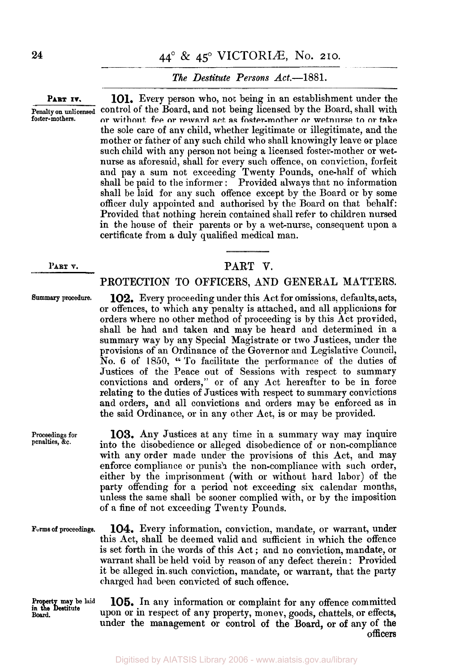# *The Destitute Persons Act.*—1881.

PART IV. **101.** Every person who, not being in an establishment under the **Penalty on unlicensed** control of the Board, and not being licensed by the Board, shall with for the state results of the state results of the state results of the state results of the state results of the state results o or without fee or reward act as foster-mother or wetnurse to or take the sole care of any child, whether legitimate or illegitimate, and the mother or father of any such child who shall knowingly leave or place such child with any person not being a licensed foster-mother or wetnurse as aforesaid, shall for every such offence, on conviction, forfeit and pay a sum not exceeding Twenty Pounds, one-half of which shall be paid to the informer: Provided always that no information shall be laid for any such offence except by the Board or by some officer duly appointed and authorised by the Board on that behalf: Provided that nothing herein contained shall refer to children nursed in the house of their parents or by a wet-nurse, consequent upon a certificate from a duly qualified medical man.

# **PART V. PART V.**

# PROTECTION TO OFFICERS, AND **GENERAL** MATTERS.

or offences, to which any penalty is attached, and all applicaions for orders where no other method of proceeding is by this Act provided, shall be had and taken and may he heard and determined in a summary way by any Special Magistrate or two Justices, under the provisions of an Ordinance **of** the Governor and Legislative Council, No. 6 of 1850, " To facilitate the performance of the duties of Justices of the Peace out of Sessions with respect to summary convictions and orders," or of any Act hereafter to be in force relating to the duties of Justices with respect to summary convictions and orders, and all convictions and orders may be enforced as in the said Ordinance, or in any other Act, is or may be provided.

*summary* **procedure. 102.** Every proceeding under this Act for omissions, defaults, acts,

**penalties, &c.** 

**Board.** 

**103.** Any Justices at any time in a summary way may inquire into the disobedience or alleged disobedience of or non-compliance with any order made under the provisions of this Act, and may enforce compliance or punish the non-compliance with such order, either by the imprisonment (with or without hard labor) of the party offending for a period not exceeding six calendar months, unless the same shall be sooner complied with, or by the imposition of a fine of not exceeding Twenty Pounds.

**104.** Every information, conviction, mandate, or warrant, under this Act, shall be deemed valid and sufficient in which the offence is set forth in the words of this Act ; and no conviction, mandate, or warrant shall be held void by reason of any defect therein : Provided it be alleged in such conviction, mandate, or warrant, that the party charged had been convicted of such offence. **Forms of proceedings.** 

**Property may be laid in the Destitute 105.** In any information or complaint for any offence committed upon or in respect of any property, money, goods, chattels, **or** effects, under the management or control of the Board, **or of** any of the officers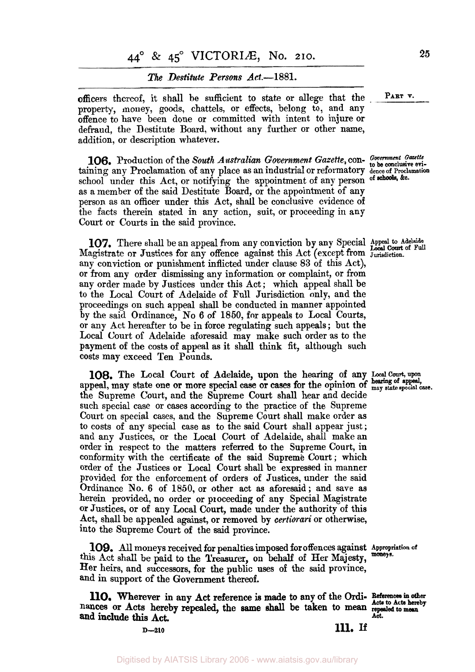# **44º** & **45º** VICTORIÆ No. **210. <sup>25</sup>**

## *The Destitute Persons Act.*—1881.

officers thereof, it shall be sufficient to state or allege that the *PART* **v.**  property, money, goods, chattels, or effects, belong to, and any offence to have been done or committed with intent to injure or defraud, the Destitute Board, without any further or other name, addition, or description whatever.

**106.** Production of the *South Australian Government Gazette*, con- Government Gazette to be conclusive evitaining any Proclamation of any place as an industrial or reformatory **deuce of Proclamation**  school under this Act, or notifying the appointment of any person of schools, &c. as a member of the said Destitute Board, or the appointment of any person as an officer under this Act, shall be conclusive evidence of the facts therein stated in any action, suit, or proceeding in any Court or Courts in the said province.

**107.** There shall be an appeal fiom any conviction by any Special *Appeal to Adelaide Local Court of Full*  Magistrate or Justices for any offence against this Act (except from **Jurisdiction.**  any conviction or punishment inflicted under clause **83** of this Act), or from any order dismissing any information or complaint, or from any order made by Justices under this Act; which appeal shall be to the Local Court of Adelaide of Full Jurisdiction only, and the proceedings on such appeal shall be conducted in manner appointed **by** the said Ordinance, **No** 6 of **1850,** for appeals to Local Courts, or any Act hereafter to be in force regulating such appeals ; but the Local Court of Adelaide aforesaid may make such order as to the payment of the costs of appeal as it shall think fit, although such costs may exceed Ten Pounds.

**108.** The Local Court **of** Adelaide, upon the hearing of any **Local Court, upon hearing of appeal,**  appeal, may state one or more special case or cases for the opinion of **may state special case.**  the Supreme Court, and the Supreme Court shall hear and decide such special case or cases according to the practice of the Supreme Court on special cases, and the Supreme Court shall make order as to costs of any special case as to the said Court shall appear just; and any Justices, or the Local Court of Adelaide, shall make an order in respect to the matters referred **to** the Supreme Court, in conformity with the certificate of the said Supreme Court; which order of the Justices or Local Court shall be expressed in manner provided for the enforcement **of** orders of Justices, under the said Ordinance **No. 6** of 1850, or other act **as** aforesaid ; and save as herein provided, no order or proceeding of any Special Magistrate or Justices, or of any Local Court, made under the authority of this Act, shall be appealed against, or removed by *certiorari* or otherwise, into the Supreme Court of the said province.

**109.** All moneys received for penalties imposed for offences against **Appropriation of** this Act shall be paid to the Treasurer, on behalf of Her Majesty, **moneys.**  Her heirs, and successors, for the public uses of the said province, and in support **of** the Government thereof.

nances or Acts hereby repealed, the **same** shall be taken to mean **repealed to mean**  110. Wherever in any Act reference is made to any of the Ordi- References in other and include this Act.

**D-210 111. If**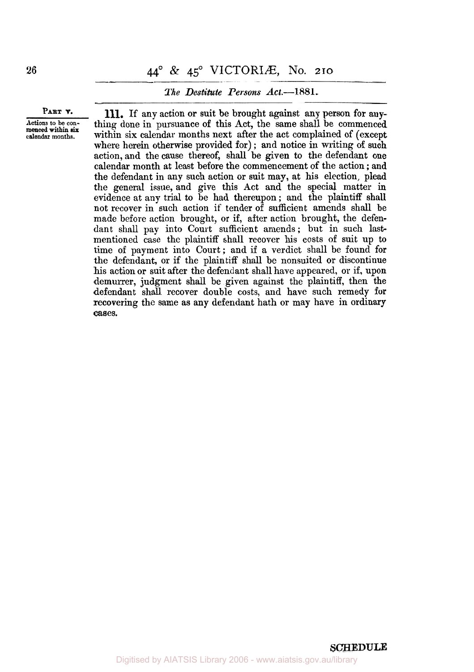# **<sup>26</sup>**44° & **45°** VICTORIÆ, No. **210**

## *The Destitute Persons Act.-1 881.*

**PART v.** 

**Actions to be concalendar months. menced within six** 

**111.** If any action or suit be brought against any person for anything done in pursuance of this Act, the same shall be commenced within six calendar months next after the act complained of (except where herein otherwise provided for); and notice in writing of such action, and the cause thereof, shall be given to the defendant one calendar month at least before the commencement of the action ; and the defendant in any such action or suit may, at his election, plead the general issue, and give this Act and the special matter in evidence at any trial to be had thereupon; and the plaintiff shall not recover in such action if tender of sufficient amends shall be made before action brought, or if, after action brought, the defendant shall pay into Court sufficient amends; but in such lastmentioned case the plaintiff shall recover his costs of suit up to time of payment into Court; and if a verdict shall be found for the defendant, or if the plaintiff shall be nonsuited or discontinue his action **or** suit after the defendant shall have appeared, or if, **upon**  demurrer, judgment shall be given against the plaintiff, then the defendant shall recover double costs, and have such remedy **for**  recovering the same as any defendant hath or may have in ordinary cases.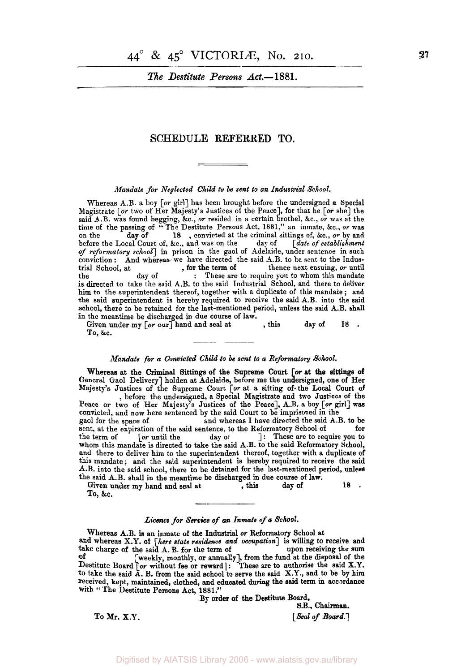*The Destitute Persons Act.*-1881.

## **SCHEDULE REFERRED TO.**

## *Mandate for Neglected Child to be sent to an Industrial School.*

Whereas A.B. a boy [or girl] has been brought before the undersigned a Special Magistrate *[or* two of Her Majesty's Justices of the Peace], for that he [or she] the said A.B. was found begging, &c., or resided in a certain brothel, &c., *or* was at the time of the passing of "The Destitute Persons Act, 1881," an inmate, &c., or was on the day of 18, convicted at the criminal sittings of, &c., or by and before the Local Court of, &c., and was on the day of [date of establ before the Local Court of, &c., and was on the *of reformatory* school] in prison in the gaol of Adelaide, under sentence in such conviction: And whereas we have directed the said A.B. to be sent to the Industrial School, at **the state of the state is set of the state of the state of the state of the state of the state of the state of the state of the state of the state of the state of the state of the state of the state of th** : These are to require you to whom this mandate is directed to take the said A.B. to the said Industrial School, and there to deliver him to the superintendent thereof, together with a duplicate of this mandate ; and the said superintendent is hereby required to receive the said A.B. into the said school, there to be retained for the last-mentioned period, unless the said A.B. shall in the meantime be discharged in due course of law. day of , for the term of

Given under my  $[or \text{ our}]$  hand and seal at , this day of 18.

#### *Mandate for a Convicted Child to be sent to a Reformatory School.*

Whereas at the Criminal Sittings of the Supreme Court [or at the sittings of Majesty's Justices of the Supreme Court **[or** at a sitting of the **Local** Court of General Gaol Delivery] holden at Adelaide, before me the undersigned, one of Her , before the undersigned, a Special Magistrate and two Justices of the

Peace or two of Her Majesty's Justices of the Peace], A.B. a boy [or girl] was convicted, and now here sentenced by the said Court to be imprisoned in the gaol for the space of and whereas I have directed the said A.B. to and whereas I have directed the said  $A.B.$  to be the  $Reformatory School of$ sent, at the expiration of the said sentence, to the Reformatory School of the term of [or until the day of  $\cdot$ ]: These are to req 1: These are to require you to whom this mandate is directed to take the said A.B. to the said Reformatory School, and there to deliver him to the superintendent thereof, together with a duplicate of this mandate; and the said superintendent is hereby required to receive the said A.B. into the said school, there to be detained for the last-mentioned period, unless

the said A.B. shall **in** the meantime be discharged in due course of law. Given under my hand and seal at , this day of **18** . To, &c.

#### *Licence for Service of an Inmate of a School.*

**and** whereas X.Y. of *[here state residence and occupation]* is willing to receive and take charge of the said A. B. for the term of upon receiving the **sum**  of [weekly, monthly, or annually], from the fund at the disposal of the [weekly, monthly, or annually], from the fund at the disposal of the Destitute Board *[or without fee or reward* ] : These are to authorise the said *to* take the said A. **B.** from the said school to serve the said **X.Y.,** and **to** be by him received, kept, maintained, clothed, and **educated during** the said term **in** accordance with "The Destitute Persons Act, **1881."**  Whereas A.B. is an inmate of the Industrial or Reformatory School at

By order of the **Destitute** Board,

**S.B., Chairman. To** Mr. **X.Y.** *[Seal of Board.]*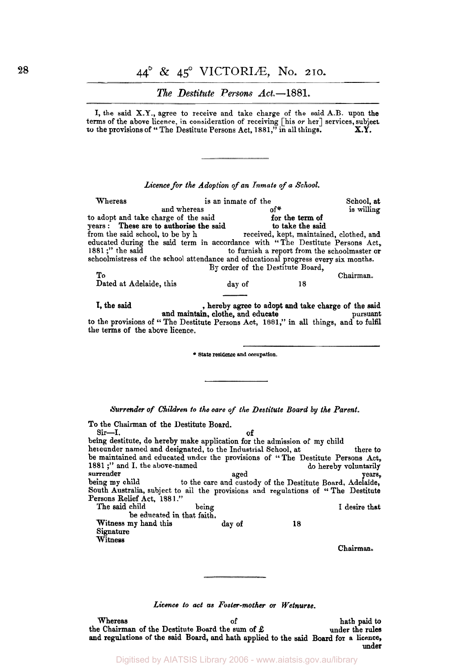# **<sup>28</sup>44°** & **45°** VICTORIÆ, No. **210.**

# *The Destitute Persons Act.-1* **881.**

I, the said X.Y., agree to receive and take charge of the said A.B. upon the terms of the above licence, in consideration of receiving [his or her] services, subject to the provisions of '' The Destitute Persons Act, **1881,"** in all things. **X.Y.** 

### *Licence for the Adoption of an Inmate of a School.*

Whereas is an inmate of the School, at<br>and whereas of  $\sigma^*$  is willing and whereas to adopt and take charge of the said to adopt and take charge of the said to the term of<br>years: These are to authorise the said to take the said from the said school, to be by h received, kept, maintained, clothed, and educated during the said term in accordance with "The Destitute Persons Act, 1881;" the said schoolmistress of the school attendance and educational progress every six months. To Chairman. Dated at Adelaide, this day of 18 for the term of By order of the Destitute Board,

**I,** the said , hereby agree to adopt and take charge of the said and maintain, clothe, and educate pursuant<br>to the provisions of "The Destitute Persons Act, 1881," in all things, and to fulfil the terms of the above licence.

State **residence and occupation.** 

*Surrender of Children to the care of the Destitute Board by the Parent.* 

| To the Chairman of the Destitute Board.                                           |        |                                                           |                       |
|-----------------------------------------------------------------------------------|--------|-----------------------------------------------------------|-----------------------|
| Sir—I.                                                                            | оf     |                                                           |                       |
| being destitute, do hereby make application for the admission of my child         |        |                                                           |                       |
| hereunder named and designated, to the Industrial School, at<br>there to          |        |                                                           |                       |
| be maintained and educated under the provisions of "The Destitute Persons Act,    |        |                                                           |                       |
| 1881 :" and I, the above-named                                                    |        |                                                           | do hereby voluntarily |
| surrender                                                                         | aged   |                                                           | years.                |
| being my child                                                                    |        | to the care and custody of the Destitute Board, Adelaide, |                       |
| South Australia, subject to all the provisions and regulations of "The Destitute" |        |                                                           |                       |
| Persons Relief Act, 1881.''                                                       |        |                                                           |                       |
| The said child                                                                    | being  |                                                           | I desire that         |
| be educated in that faith.                                                        |        |                                                           |                       |
| Witness my hand this                                                              | day of | 18                                                        |                       |
| Signature                                                                         |        |                                                           |                       |
| Witness                                                                           |        |                                                           |                       |
|                                                                                   |        |                                                           | Chairman.             |

*Licence to act as Foster-mother or Wetnurse.* 

Whereas of hath paid to the Chairman of the Destitute Board the sum of  $\pounds$  **hath paid to under the rules** and regulations of the said Board, **and** hath applied **to** the said Board for a licence, under

Digitised by AIATSIS Library 2006 - www.aiatsis.gov.au/library